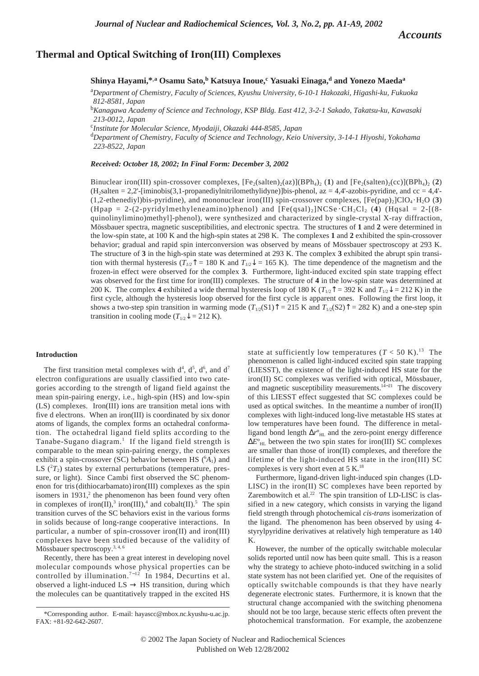*Accounts*

## **Thermal and Optical Switching of Iron(III) Complexes**

**Shinya Hayami,\*,a** Osamu Sato,<sup>b</sup> Katsuya Inoue,<sup>c</sup> Yasuaki Einaga,<sup>d</sup> and Yonezo Maeda<sup>a</sup>

a *Department of Chemistry, Faculty of Sciences, Kyushu University, 6-10-1 Hakozaki, Higashi-ku, Fukuoka 812-8581, Japan*

b *Kanagawa Academy of Science and Technology, KSP Bldg. East 412, 3-2-1 Sakado, Takatsu-ku, Kawasaki 213-0012, Japan*

c *Institute for Molecular Science, Myodaiji, Okazaki 444-8585, Japan*

d *Department of Chemistry, Faculty of Science and Technology, Keio University, 3-14-1 Hiyoshi, Yokohama 223-8522, Japan*

*Received: October 18, 2002; In Final Form: December 3, 2002*

Binuclear iron(III) spin-crossover complexes,  $[Fe_2(salten)_2(ax)](BPh_4)_2$  (1) and  $[Fe_2(salten)_2(cc)](BPh_4)_2$  (2) (H2salten = 2,2'-[iminobis(3,1-propanediylnitrilomethylidyne)]bis-phenol, az = 4,4'-azobis-pyridine, and cc = 4,4'-  $(1,2$ -ethenediyl)bis-pyridine), and mononuclear iron(III) spin-crossover complexes,  $[Fe(pap)_2]ClO_4 \cdot H_2O$  (3) (Hpap = 2-(2-pyridylmethyleneamino)phenol) and  $[Fe(qsal)_2]NCSe \cdot CH_2Cl_2$  (4) (Hqsal = 2-[(8quinolinylimino)methyl]-phenol), were synthesized and characterized by single-crystal X-ray diffraction, Mössbauer spectra, magnetic susceptibilities, and electronic spectra. The structures of **1** and **2** were determined in the low-spin state, at 100 K and the high-spin states at 298 K. The complexes **1** and **2** exhibited the spin-crossover behavior; gradual and rapid spin interconversion was observed by means of Mössbauer spectroscopy at 293 K. The structure of **3** in the high-spin state was determined at 293 K. The complex **3** exhibited the abrupt spin transition with thermal hysteresis ( $T_{1/2}$ <sup>†</sup> = 180 K and  $T_{1/2}$ <sup>†</sup> = 165 K). The time dependence of the magnetism and the frozen-in effect were observed for the complex **3**. Furthermore, light-induced excited spin state trapping effect was observed for the first time for iron(III) complexes. The structure of **4** in the low-spin state was determined at 200 K. The complex 4 exhibited a wide thermal hysteresis loop of 180 K ( $T_{1/2}$ <sup>↑</sup> = 392 K and  $T_{1/2}$ <sup> $\downarrow$ </sup> = 212 K) in the first cycle, although the hysteresis loop observed for the first cycle is apparent ones. Following the first loop, it shows a two-step spin transition in warming mode  $(T_{1/2}(S1)^T = 215 \text{ K}$  and  $T_{1/2}(S2)^T = 282 \text{ K}$ ) and a one-step spin transition in cooling mode ( $T_{1/2}$  $\downarrow$  = 212 K).

### **Introduction**

The first transition metal complexes with  $d^4$ ,  $d^5$ ,  $d^6$ , and  $d^7$ electron configurations are usually classified into two categories according to the strength of ligand field against the mean spin-pairing energy, i.e., high-spin (HS) and low-spin (LS) complexes. Iron(III) ions are transition metal ions with five d electrons. When an iron(III) is coordinated by six donor atoms of ligands, the complex forms an octahedral conformation. The octahedral ligand field splits according to the Tanabe-Sugano diagram.<sup>1</sup> If the ligand field strength is comparable to the mean spin-pairing energy, the complexes exhibit a spin-crossover (SC) behavior between HS  $({}^{6}A_1)$  and LS  $(^{2}T_{2})$  states by external perturbations (temperature, pressure, or light). Since Cambi first observed the SC phenomenon for tris (dithiocarbamato) iron(III) complexes as the spin isomers in  $1931$ ,<sup>2</sup> the phenomenon has been found very often in complexes of iron(II),<sup>3</sup> iron(III),<sup>4</sup> and cobalt(II).<sup>5</sup> The spin transition curves of the SC behaviors exist in the various forms in solids because of long-range cooperative interactions. In particular, a number of spin-crossover iron(II) and iron(III) complexes have been studied because of the validity of Mössbauer spectroscopy.<sup>3, 4, 6</sup>

Recently, there has been a great interest in developing novel molecular compounds whose physical properties can be controlled by illumination.<sup>7-12</sup> In 1984, Decurtins et al. observed a light-induced  $LS \rightarrow HS$  transition, during which the molecules can be quantitatively trapped in the excited HS

state at sufficiently low temperatures  $(T < 50 \text{ K})$ .<sup>13</sup> The phenomenon is called light-induced excited spin state trapping (LIESST), the existence of the light-induced HS state for the iron(II) SC complexes was verified with optical, Mössbauer, and magnetic susceptibility measurements. $14-21$  The discovery of this LIESST effect suggested that SC complexes could be used as optical switches. In the meantime a number of iron(II) complexes with light-induced long-live metastable HS states at low temperatures have been found. The difference in metalligand bond length  $\Delta r^{\circ}$ <sub>HL</sub> and the zero-point energy difference  $\Delta E^{\circ}$ <sub>HL</sub> between the two spin states for iron(III) SC complexes are smaller than those of iron(II) complexes, and therefore the lifetime of the light-induced HS state in the iron(III) SC complexes is very short even at 5 K.18

Furthermore, ligand-driven light-induced spin changes (LD-LISC) in the iron(II) SC complexes have been reported by Zarembowitch et al. $22$  The spin transition of LD-LISC is classified in a new category, which consists in varying the ligand field strength through photochemical *cis*-*trans* isomerization of the ligand. The phenomenon has been observed by using 4 styrylpyridine derivatives at relatively high temperature as 140 K.

However, the number of the optically switchable molecular solids reported until now has been quite small. This is a reason why the strategy to achieve photo-induced switching in a solid state system has not been clarified yet. One of the requisites of optically switchable compounds is that they have nearly degenerate electronic states. Furthermore, it is known that the structural change accompanied with the switching phenomena should not be too large, because steric effects often prevent the photochemical transformation. For example, the azobenzene

<sup>\*</sup>Corresponding author. E-mail: hayascc@mbox.nc.kyushu-u.ac.jp. FAX: +81-92-642-2607.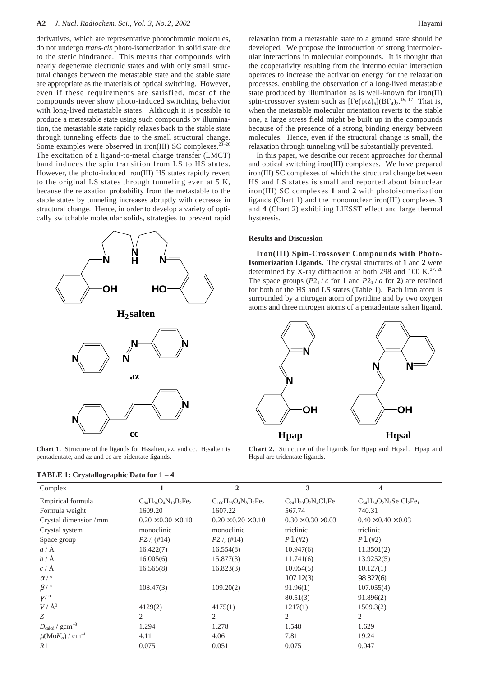#### **A2** *J. Nucl. Radiochem. Sci., Vol. 3, No. 2, 2002* Hayami

derivatives, which are representative photochromic molecules, do not undergo *trans*-*cis* photo-isomerization in solid state due to the steric hindrance. This means that compounds with nearly degenerate electronic states and with only small structural changes between the metastable state and the stable state are appropriate as the materials of optical switching. However, even if these requirements are satisfied, most of the compounds never show photo-induced switching behavior with long-lived metastable states. Although it is possible to produce a metastable state using such compounds by illumination, the metastable state rapidly relaxes back to the stable state through tunneling effects due to the small structural change. Some examples were observed in iron(III) SC complexes.<sup>23–26</sup> The excitation of a ligand-to-metal charge transfer (LMCT) band induces the spin transition from LS to HS states. However, the photo-induced iron(III) HS states rapidly revert to the original LS states through tunneling even at 5 K, because the relaxation probability from the metastable to the stable states by tunneling increases abruptly with decrease in structural change. Hence, in order to develop a variety of optically switchable molecular solids, strategies to prevent rapid



**Chart 1.** Structure of the ligands for H<sub>2</sub>salten, az, and cc. H<sub>2</sub>salten is pentadentate, and az and cc are bidentate ligands.

relaxation from a metastable state to a ground state should be developed. We propose the introduction of strong intermolecular interactions in molecular compounds. It is thought that the cooperativity resulting from the intermolecular interaction operates to increase the activation energy for the relaxation processes, enabling the observation of a long-lived metastable state produced by illumination as is well-known for iron(II) spin-crossover system such as  $[Fe(ptz)_{6}] (BF<sub>4</sub>)_{2}$ .<sup>16, 17</sup> That is, when the metastable molecular orientation reverts to the stable one, a large stress field might be built up in the compounds because of the presence of a strong binding energy between molecules. Hence, even if the structural change is small, the relaxation through tunneling will be substantially prevented.

In this paper, we describe our recent approaches for thermal and optical switching iron(III) complexes. We have prepared iron(III) SC complexes of which the structural change between HS and LS states is small and reported about binuclear iron(III) SC complexes **1** and **2** with photoisomerization ligands (Chart 1) and the mononuclear iron(III) complexes **3** and **4** (Chart 2) exhibiting LIESST effect and large thermal hysteresis.

#### **Results and Discussion**

**Iron(III) Spin-Crossover Compounds with Photo-Isomerization Ligands.** The crystal structures of **1** and **2** were determined by X-ray diffraction at both 298 and 100 K.<sup>27, 28</sup> The space groups  $(P2_1 / c \text{ for } 1 \text{ and } P2_1 / a \text{ for } 2)$  are retained for both of the HS and LS states (Table 1). Each iron atom is surrounded by a nitrogen atom of pyridine and by two oxygen atoms and three nitrogen atoms of a pentadentate salten ligand.



**Chart 2.** Structure of the ligands for Hpap and Hqsal. Hpap and Hqsal are tridentate ligands.

| Complex                                |                                | $\overline{2}$                 | 3                              | 4                                |
|----------------------------------------|--------------------------------|--------------------------------|--------------------------------|----------------------------------|
| Empirical formula                      | $C_{98}H_{94}O_4N_{10}B_2Fe_2$ | $C_{100}H_{96}O_4N_8B_2Fe_2$   | $C_{24}H_{20}O_7N_4Cl_1Fe_1$   | $C_{34}H_{24}O_2N_5Se_1Cl_2Fe_1$ |
| Formula weight                         | 1609.20                        | 1607.22                        | 567.74                         | 740.31                           |
| Crystal dimension/mm                   | $0.20 \times 0.30 \times 0.10$ | $0.20 \times 0.20 \times 0.10$ | $0.30 \times 0.30 \times 0.03$ | $0.40 \times 0.40 \times 0.03$   |
| Crystal system                         | monoclinic                     | monoclinic                     | triclinic                      | triclinic                        |
| Space group                            | $P2_1/(H14)$                   | $P2_1/a$ (#14)                 | P1(#2)                         | P1(#2)                           |
| $a/\AA$                                | 16.422(7)                      | 16.554(8)                      | 10.947(6)                      | 11.3501(2)                       |
| $b/\text{\AA}$                         | 16.005(6)                      | 15.877(3)                      | 11.741(6)                      | 13.9252(5)                       |
| $c/\text{\AA}$                         | 16.565(8)                      | 16.823(3)                      | 10.054(5)                      | 10.127(1)                        |
| $\alpha/$ °                            |                                |                                | 107.12(3)                      | 98.327(6)                        |
| $\beta$ / $\circ$                      | 108.47(3)                      | 109.20(2)                      | 91.96(1)                       | 107.055(4)                       |
| $\gamma/$ $^{\circ}$                   |                                |                                | 80.51(3)                       | 91.896(2)                        |
| $V/\AA^3$                              | 4129(2)                        | 4175(1)                        | 1217(1)                        | 1509.3(2)                        |
| Z                                      | 2                              | 2                              | 2                              | 2                                |
| $D_{\text{calcd}}$ / $\text{gcm}^{-3}$ | 1.294                          | 1.278                          | 1.548                          | 1.629                            |
| $\mu(MoK_{\alpha})$ / cm <sup>-1</sup> | 4.11                           | 4.06                           | 7.81                           | 19.24                            |
| R1                                     | 0.075                          | 0.051                          | 0.075                          | 0.047                            |

# **TABLE 1: Crystallographic Data for 1 – 4**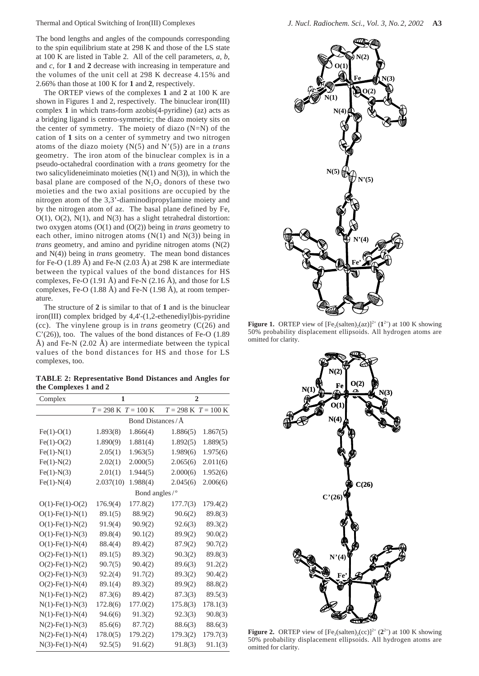Thermal and Optical Switching of Iron(III) Complexes *J. Nucl. Radiochem. Sci., Vol. 3, No. 2, 2002* **A3**

The bond lengths and angles of the compounds corresponding to the spin equilibrium state at 298 K and those of the LS state at 100 K are listed in Table 2. All of the cell parameters, *a*, *b*, and *c*, for **1** and **2** decrease with increasing in temperature and the volumes of the unit cell at 298 K decrease 4.15% and 2.66% than those at 100 K for **1** and **2**, respectively.

The ORTEP views of the complexes **1** and **2** at 100 K are shown in Figures 1 and 2, respectively. The binuclear iron(III) complex **1** in which trans-form azobis(4-pyridine) (az) acts as a bridging ligand is centro-symmetric; the diazo moiety sits on the center of symmetry. The moiety of diazo  $(N=N)$  of the cation of **1** sits on a center of symmetry and two nitrogen atoms of the diazo moiety (N(5) and N'(5)) are in a *trans* geometry. The iron atom of the binuclear complex is in a pseudo-octahedral coordination with a *trans* geometry for the two salicylideneiminato moieties  $(N(1)$  and  $N(3)$ ), in which the basal plane are composed of the  $N_2O_2$  donors of these two moieties and the two axial positions are occupied by the nitrogen atom of the 3,3'-diaminodipropylamine moiety and by the nitrogen atom of az. The basal plane defined by Fe,  $O(1)$ ,  $O(2)$ ,  $N(1)$ , and  $N(3)$  has a slight tetrahedral distortion: two oxygen atoms (O(1) and (O(2)) being in *trans* geometry to each other, imino nitrogen atoms  $(N(1)$  and  $N(3))$  being in *trans* geometry, and amino and pyridine nitrogen atoms (N(2) and N(4)) being in *trans* geometry. The mean bond distances for Fe-O (1.89 Å) and Fe-N (2.03 Å) at 298 K are intermediate between the typical values of the bond distances for HS complexes, Fe-O (1.91 Å) and Fe-N (2.16 Å), and those for LS complexes, Fe-O (1.88 Å) and Fe-N (1.98 Å), at room temperature.

The structure of **2** is similar to that of **1** and is the binuclear iron(III) complex bridged by 4,4'-(1,2-ethenediyl)bis-pyridine (cc). The vinylene group is in *trans* geometry (C(26) and C'(26)), too. The values of the bond distances of Fe-O (1.89 Å) and Fe-N  $(2.02 \text{ Å})$  are intermediate between the typical values of the bond distances for HS and those for LS complexes, too.

**TABLE 2: Representative Bond Distances and Angles for the Complexes 1 and 2**

| Complex                   | 1                                       |          | $\overline{2}$                          |          |  |
|---------------------------|-----------------------------------------|----------|-----------------------------------------|----------|--|
|                           | $T = 298 \text{ K}$ $T = 100 \text{ K}$ |          | $T = 298 \text{ K}$ $T = 100 \text{ K}$ |          |  |
|                           | Bond Distances / Å                      |          |                                         |          |  |
| $Fe(1)-O(1)$              | 1.893(8)                                | 1.866(4) | 1.886(5)                                | 1.867(5) |  |
| $Fe(1)-O(2)$              | 1.890(9)                                | 1.881(4) | 1.892(5)                                | 1.889(5) |  |
| $Fe(1)-N(1)$              | 2.05(1)                                 | 1.963(5) | 1.989(6)                                | 1.975(6) |  |
| $Fe(1)-N(2)$              | 2.02(1)                                 | 2.000(5) | 2.065(6)                                | 2.011(6) |  |
| $Fe(1)-N(3)$              | 2.01(1)                                 | 1.944(5) | 2.000(6)                                | 1.952(6) |  |
| $Fe(1)-N(4)$              | 2.037(10)                               | 1.988(4) | 2.045(6)                                | 2.006(6) |  |
|                           | Bond angles/°                           |          |                                         |          |  |
| $O(1)$ -Fe $(1)$ -O $(2)$ | 176.9(4)                                | 177.8(2) | 177.7(3)                                | 179.4(2) |  |
| $O(1)$ -Fe $(1)$ -N $(1)$ | 89.1(5)                                 | 88.9(2)  | 90.6(2)                                 | 89.8(3)  |  |
| $O(1)$ -Fe $(1)$ -N $(2)$ | 91.9(4)                                 | 90.9(2)  | 92.6(3)                                 | 89.3(2)  |  |
| $O(1)$ -Fe $(1)$ -N $(3)$ | 89.8(4)                                 | 90.1(2)  | 89.9(2)                                 | 90.0(2)  |  |
| $O(1)$ -Fe $(1)$ -N $(4)$ | 88.4(4)                                 | 89.4(2)  | 87.9(2)                                 | 90.7(2)  |  |
| $O(2)$ -Fe $(1)$ -N $(1)$ | 89.1(5)                                 | 89.3(2)  | 90.3(2)                                 | 89.8(3)  |  |
| $O(2)$ -Fe $(1)$ -N $(2)$ | 90.7(5)                                 | 90.4(2)  | 89.6(3)                                 | 91.2(2)  |  |
| $O(2)$ -Fe $(1)$ -N $(3)$ | 92.2(4)                                 | 91.7(2)  | 89.3(2)                                 | 90.4(2)  |  |
| $O(2)$ -Fe $(1)$ -N $(4)$ | 89.1(4)                                 | 89.3(2)  | 89.9(2)                                 | 88.8(2)  |  |
| $N(1)$ -Fe $(1)$ -N $(2)$ | 87.3(6)                                 | 89.4(2)  | 87.3(3)                                 | 89.5(3)  |  |
| $N(1)$ -Fe $(1)$ -N $(3)$ | 172.8(6)                                | 177.0(2) | 175.8(3)                                | 178.1(3) |  |
| $N(1)$ -Fe $(1)$ -N $(4)$ | 94.6(6)                                 | 91.3(2)  | 92.3(3)                                 | 90.8(3)  |  |
| $N(2)$ -Fe $(1)$ -N $(3)$ | 85.6(6)                                 | 87.7(2)  | 88.6(3)                                 | 88.6(3)  |  |
| $N(2)$ -Fe $(1)$ -N $(4)$ | 178.0(5)                                | 179.2(2) | 179.3(2)                                | 179.7(3) |  |
| $N(3)$ -Fe $(1)$ -N $(4)$ | 92.5(5)                                 | 91.6(2)  | 91.8(3)                                 | 91.1(3)  |  |



**Figure 1.** ORTEP view of  $[Fe_2(salten)_2(ax)]^{2+}$  (1<sup>2+</sup>) at 100 K showing 50% probability displacement ellipsoids. All hydrogen atoms are omitted for clarity.



**Figure 2.** ORTEP view of  $[Fe_2(salten)_2(cc)]^{2+}(2^{2+})$  at 100 K showing 50% probability displacement ellipsoids. All hydrogen atoms are omitted for clarity.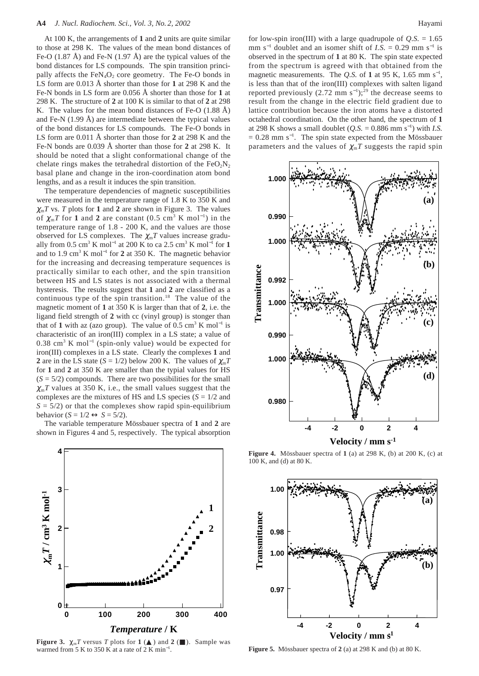At 100 K, the arrangements of **1** and **2** units are quite similar to those at 298 K. The values of the mean bond distances of Fe-O  $(1.87 \text{ Å})$  and Fe-N  $(1.97 \text{ Å})$  are the typical values of the bond distances for LS compounds. The spin transition principally affects the  $FeN<sub>4</sub>O<sub>2</sub>$  core geometry. The Fe-O bonds in LS form are 0.013 Å shorter than those for **1** at 298 K and the Fe-N bonds in LS form are 0.056 Å shorter than those for **1** at 298 K. The structure of **2** at 100 K is similar to that of **2** at 298 K. The values for the mean bond distances of Fe-O (1.88 Å) and Fe-N  $(1.99 \text{ Å})$  are intermediate between the typical values of the bond distances for LS compounds. The Fe-O bonds in LS form are 0.011 Å shorter than those for **2** at 298 K and the Fe-N bonds are 0.039 Å shorter than those for **2** at 298 K. It should be noted that a slight conformational change of the chelate rings makes the tetrahedral distortion of the  $FeO<sub>2</sub>N<sub>2</sub>$ basal plane and change in the iron-coordination atom bond lengths, and as a result it induces the spin transition.

The temperature dependencies of magnetic susceptibilities were measured in the temperature range of 1.8 K to 350 K and  $\chi_{\rm m}T$  vs. *T* plots for 1 and 2 are shown in Figure 3. The values of  $\chi_{m}T$  for **1** and **2** are constant (0.5 cm<sup>3</sup> K mol<sup>-1</sup>) in the temperature range of 1.8 - 200 K, and the values are those observed for LS complexes. The  $\chi_{m}T$  values increase gradually from 0.5 cm<sup>3</sup> K mol<sup>-1</sup> at 200 K to ca 2.5 cm<sup>3</sup> K mol<sup>-1</sup> for **1** and to 1.9 cm3 K mol<sup>−</sup><sup>1</sup> for **2** at 350 K. The magnetic behavior for the increasing and decreasing temperature sequences is practically similar to each other, and the spin transition between HS and LS states is not associated with a thermal hysteresis. The results suggest that **1** and **2** are classified as a continuous type of the spin transition.<sup>18</sup> The value of the magnetic moment of **1** at 350 K is larger than that of **2**, i.e. the ligand field strength of **2** with cc (vinyl group) is stonger than that of 1 with az (azo group). The value of  $0.5 \text{ cm}^3 \text{ K} \text{ mol}^{-1}$  is characteristic of an iron(III) complex in a LS state; a value of 0.38 cm3 K mol<sup>−</sup><sup>1</sup> (spin-only value) would be expected for iron(III) complexes in a LS state. Clearly the complexes **1** and **2** are in the LS state ( $S = 1/2$ ) below 200 K. The values of  $\chi_m T$ for **1** and **2** at 350 K are smaller than the typial values for HS  $(S = 5/2)$  compounds. There are two possibilities for the small  $\chi_{\rm m}$ *T* values at 350 K, i.e., the small values suggest that the complexes are the mixtures of HS and LS species (*S* = 1/2 and  $S = 5/2$ ) or that the complexes show rapid spin-equilibrium behavior  $(S = 1/2 \leftrightarrow S = 5/2)$ .

The variable temperature Mössbauer spectra of **1** and **2** are shown in Figures 4 and 5, respectively. The typical absorption



**Figure 3.**  $\chi_{m}T$  versus *T* plots for **1** ( ) and **2** ( ). Sample was warmed from 5 K to 350 K at a rate of 2 K min<sup>-1</sup>.

for low-spin iron(III) with a large quadrupole of  $Q.S. = 1.65$ mm s<sup> $-1$ </sup> doublet and an isomer shift of *I.S.* = 0.29 mm s<sup> $-1$ </sup> is observed in the spectrum of **1** at 80 K. The spin state expected from the spectrum is agreed with that obtained from the magnetic measurements. The *Q.S.* of 1 at 95 K, 1.65 mm  $s^{-1}$ , is less than that of the iron(III) complexes with salten ligand reported previously  $(2.72 \text{ mm s}^{-1})$ ;<sup>29</sup> the decrease seems to result from the change in the electric field gradient due to lattice contribution because the iron atoms have a distorted octahedral coordination. On the other hand, the spectrum of **1** at 298 K shows a small doublet  $(Q.S. = 0.886 \text{ mm s}^{-1})$  with *I.S.*  $= 0.28$  mm s<sup>-1</sup>. The spin state expected from the Mössbauer parameters and the values of  $\chi_{\rm m}T$  suggests the rapid spin



**Figure 4.** Mössbauer spectra of **1** (a) at 298 K, (b) at 200 K, (c) at 100 K, and (d) at 80 K.



**Figure 5.** Mössbauer spectra of **2** (a) at 298 K and (b) at 80 K.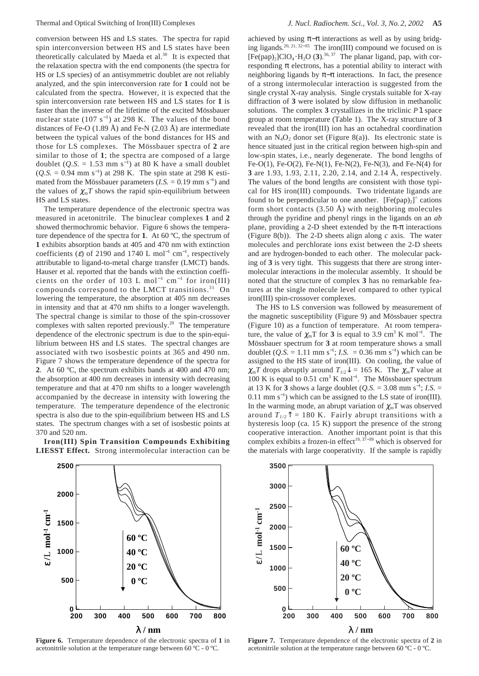conversion between HS and LS states. The spectra for rapid spin interconversion between HS and LS states have been theoretically calculated by Maeda et al.<sup>30</sup> It is expected that the relaxation spectra with the end components (the spectra for HS or LS species) of an antisymmetric doublet are not reliably analyzed, and the spin interconversion rate for **1** could not be calculated from the spectra. However, it is expected that the spin interconversion rate between HS and LS states for **1** is faster than the inverse of the lifetime of the excited Mössbauer nuclear state  $(107 \text{ s}^{-1})$  at 298 K. The values of the bond distances of Fe-O (1.89 Å) and Fe-N (2.03 Å) are intermediate between the typical values of the bond distances for HS and those for LS complexes. The Mössbauer spectra of **2** are similar to those of **1**; the spectra are composed of a large doublet  $(Q.S. = 1.53$  mm s<sup>-1</sup>) at 80 K have a small doublet (*Q.S.* = 0.94 mm s<sup>-1</sup>) at 298 K. The spin state at 298 K estimated from the Mössbauer parameters  $(I.S. = 0.19 \text{ mm s}^{-1})$  and the values of  $\chi_{m}T$  shows the rapid spin-equilibrium between HS and LS states.

The temperature dependence of the electronic spectra was measured in acetonitrile. The binuclear complexes **1** and **2** showed thermochromic behavior. Figure 6 shows the temperature dependence of the spectra for **1**. At 60 ºC, the spectrum of **1** exhibits absorption bands at 405 and 470 nm with extinction coefficients ( $\varepsilon$ ) of 2190 and 1740 L mol<sup>-1</sup> cm<sup>-1</sup>, respectively attributable to ligand-to-metal charge transfer (LMCT) bands. Hauser et al. reported that the bands with the extinction coefficients on the order of 103 L mol<sup>-1</sup> cm<sup>-1</sup> for iron(III) compounds correspond to the LMCT transitions.<sup>31</sup> On lowering the temperature, the absorption at 405 nm decreases in intensity and that at 470 nm shifts to a longer wavelength. The spectral change is similar to those of the spin-crossover complexes with salten reported previously.29 The temperature dependence of the electronic spectrum is due to the spin-equilibrium between HS and LS states. The spectral changes are associated with two isosbestic points at 365 and 490 nm. Figure 7 shows the temperature dependence of the spectra for **2**. At 60 ºC, the spectrum exhibits bands at 400 and 470 nm; the absorption at 400 nm decreases in intensity with decreasing temperature and that at 470 nm shifts to a longer wavelength accompanied by the decrease in intensity with lowering the temperature. The temperature dependence of the electronic spectra is also due to the spin-equilibrium between HS and LS states. The spectrum changes with a set of isosbestic points at 370 and 520 nm.

**Iron(III) Spin Transition Compounds Exhibiting LIESST Effect.** Strong intermolecular interaction can be

achieved by using  $\pi-\pi$  interactions as well as by using bridging ligands.20, 21, 32−<sup>35</sup> The iron(III) compound we focused on is  $[Fe(pap)_2]ClO_4 \cdot H_2O$  (3).<sup>36, 37</sup> The planar ligand, pap, with corresponding  $\pi$  electrons, has a potential ability to interact with neighboring ligands by  $\pi-\pi$  interactions. In fact, the presence of a strong intermolecular interaction is suggested from the single crystal X-ray analysis. Single crystals suitable for X-ray diffraction of **3** were isolated by slow diffusion in methanolic solutions. The complex **3** crystallizes in the triclinic  $P\overline{1}$  space group at room temperature (Table 1). The X-ray structure of **3** revealed that the iron(III) ion has an octahedral coordination with an  $N_4O_2$  donor set (Figure 8(a)). Its electronic state is hence situated just in the critical region between high-spin and low-spin states, i.e., nearly degenerate. The bond lengths of Fe-O(1), Fe-O(2), Fe-N(1), Fe-N(2), Fe-N(3), and Fe-N(4) for **3** are 1.93, 1.93, 2.11, 2.20, 2.14, and 2.14 Å, respectively. The values of the bond lengths are consistent with those typical for HS iron(III) compounds. Two tridentate ligands are found to be perpendicular to one another.  $[Fe(pap)_2]^+$  cations form short contacts  $(3.50 \text{ Å})$  with neighboring molecules through the pyridine and phenyl rings in the ligands on an *ab* plane, providing a 2-D sheet extended by the  $\pi$ - $\pi$  interactions (Figure 8(b)). The 2-D sheets align along *c* axis. The water molecules and perchlorate ions exist between the 2-D sheets and are hydrogen-bonded to each other. The molecular packing of **3** is very tight. This suggests that there are strong intermolecular interactions in the molecular assembly. It should be noted that the structure of complex **3** has no remarkable features at the single molecule level compared to other typical iron(III) spin-crossover complexes.

The HS to LS conversion was followed by measurement of the magnetic susceptibility (Figure 9) and Mössbauer spectra (Figure 10) as a function of temperature. At room temperature, the value of  $\chi_{m}T$  for **3** is equal to 3.9 cm<sup>3</sup> K mol<sup>-1</sup>. The Mössbauer spectrum for **3** at room temperature shows a small doublet  $(Q.S. = 1.11 \text{ mm s}^{-1}; I.S. = 0.36 \text{ mm s}^{-1})$  which can be assigned to the HS state of iron(III). On cooling, the value of  $\chi_{\rm m}T$  drops abruptly around  $T_{1/2}\psi = 165$  K. The  $\chi_{\rm m}T$  value at 100 K is equal to 0.51 cm<sup>3</sup> K mol<sup>-1</sup>. The Mössbauer spectrum at 13 K for **3** shows a large doublet (*Q.S.* = 3.08 mm s<sup>-1</sup>; *I.S.* = 0.11 mm s<sup>−</sup><sup>1</sup> ) which can be assigned to the LS state of iron(III). In the warming mode, an abrupt variation of  $\chi_{m}T$  was observed around  $T_{1/2}$ <sup> $\uparrow$ </sup> = 180 K. Fairly abrupt transitions with a hysteresis loop (ca. 15 K) support the presence of the strong cooperative interaction. Another important point is that this complex exhibits a frozen-in effect<sup>19, 37–39</sup> which is observed for the materials with large cooperativity. If the sample is rapidly



**Figure 6.** Temperature dependence of the electronic spectra of **1** in acetonitrile solution at the temperature range between 60 ºC - 0 ºC.



**Figure 7.** Temperature dependence of the electronic spectra of **2** in acetonitrile solution at the temperature range between 60 ºC - 0 ºC.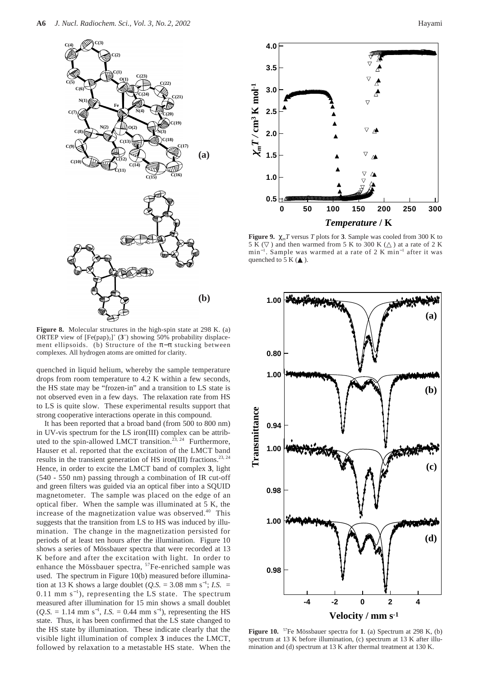

**Figure 8.** Molecular structures in the high-spin state at 298 K. (a) ORTEP view of  $[Fe(pap)_2]^+$  ( $3^+$ ) showing 50% probability displacement ellipsoids. (b) Structure of the  $\pi-\pi$  stucking between complexes. All hydrogen atoms are omitted for clarity.

quenched in liquid helium, whereby the sample temperature drops from room temperature to 4.2 K within a few seconds, the HS state may be "frozen-in" and a transition to LS state is not observed even in a few days. The relaxation rate from HS to LS is quite slow. These experimental results support that strong cooperative interactions operate in this compound.

It has been reported that a broad band (from 500 to 800 nm) in UV-vis spectrum for the LS iron(III) complex can be attributed to the spin-allowed LMCT transition.<sup>23, 24</sup> Furthermore, Hauser et al. reported that the excitation of the LMCT band results in the transient generation of HS iron(III) fractions.<sup>23, 24</sup> Hence, in order to excite the LMCT band of complex **3**, light (540 - 550 nm) passing through a combination of IR cut-off and green filters was guided via an optical fiber into a SQUID magnetometer. The sample was placed on the edge of an optical fiber. When the sample was illuminated at 5 K, the increase of the magnetization value was observed.40 This suggests that the transition from LS to HS was induced by illumination. The change in the magnetization persisted for periods of at least ten hours after the illumination. Figure 10 shows a series of Mössbauer spectra that were recorded at 13 K before and after the excitation with light. In order to enhance the Mössbauer spectra, <sup>57</sup>Fe-enriched sample was used. The spectrum in Figure 10(b) measured before illumination at 13 K shows a large doublet  $(Q.S. = 3.08 \text{ mm s}^{-1})$ ; *I.S.* =  $0.11$  mm s<sup>-1</sup>), representing the LS state. The spectrum measured after illumination for 15 min shows a small doublet  $(Q.S. = 1.14$  mm s<sup>-1</sup>, *I.S.* = 0.44 mm s<sup>-1</sup>), representing the HS state. Thus, it has been confirmed that the LS state changed to the HS state by illumination. These indicate clearly that the visible light illumination of complex **3** induces the LMCT, followed by relaxation to a metastable HS state. When the



**Figure 9.**  $\chi_{\text{m}}T$  versus *T* plots for **3**. Sample was cooled from 300 K to 5 K () and then warmed from 5 K to 300 K () at a rate of 2 K min<sup>-1</sup>. Sample was warmed at a rate of 2 K min<sup>-1</sup> after it was quenched to  $5 K$  ( $\cdot$ ).



**Figure 10.** 57Fe Mössbauer spectra for **1**. (a) Spectrum at 298 K, (b) spectrum at 13 K before illumination, (c) spectrum at 13 K after illumination and (d) spectrum at 13 K after thermal treatment at 130 K.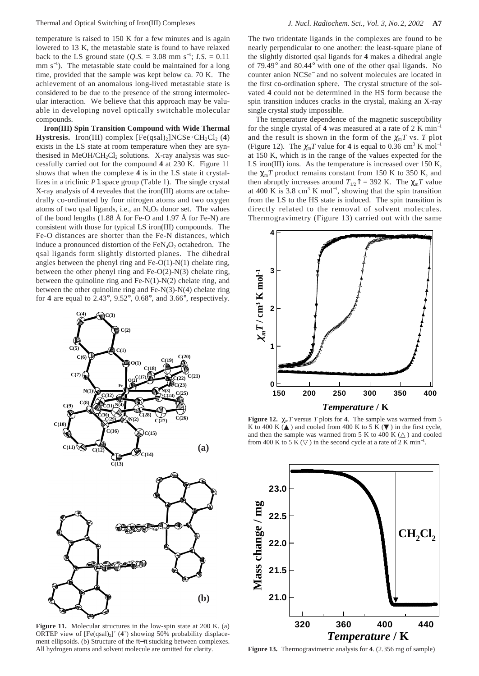temperature is raised to 150 K for a few minutes and is again lowered to 13 K, the metastable state is found to have relaxed back to the LS ground state  $(Q.S. = 3.08 \text{ mm s}^{-1}; I.S. = 0.11$ mm  $s^{-1}$ ). The metastable state could be maintained for a long time, provided that the sample was kept below ca. 70 K. The achievement of an anomalous long-lived metastable state is considered to be due to the presence of the strong intermolecular interaction. We believe that this approach may be valuable in developing novel optically switchable molecular compounds.

**Iron(III) Spin Transition Compound with Wide Thermal Hystresis.** Iron(III) complex  $[Fe(gsal)_2]NCSe \cdot CH_2Cl_2$  (4) exists in the LS state at room temperature when they are synthesised in MeOH/CH<sub>2</sub>Cl<sub>2</sub> solutions. X-ray analysis was successfully carried out for the compound **4** at 230 K. Figure 11 shows that when the complexe **4** is in the LS state it crystallizes in a triclinic  $\overline{P_1}$  space group (Table 1). The single crystal X-ray analysis of **4** reveales that the iron(III) atoms are octahedrally co-ordinated by four nitrogen atoms and two oxygen atoms of two qsal ligands, i.e., an  $N_4O_2$  donor set. The values of the bond lengths (1.88 Å for Fe-O and 1.97 Å for Fe-N) are consistent with those for typical LS iron(III) compounds. The Fe-O distances are shorter than the Fe-N distances, which induce a pronounced distortion of the  $FeN<sub>4</sub>O<sub>2</sub>$  octahedron. The qsal ligands form slightly distorted planes. The dihedral angles between the phenyl ring and  $Fe-O(1)-N(1)$  chelate ring, between the other phenyl ring and Fe-O(2)-N(3) chelate ring, between the quinoline ring and  $Fe-N(1)-N(2)$  chelate ring, and between the other quinoline ring and Fe-N(3)-N(4) chelate ring for **4** are equal to 2.43°, 9.52°, 0.68°, and 3.66°, respectively.



**Figure 11.** Molecular structures in the low-spin state at 200 K. (a) ORTEP view of  $[Fe(qsal)_2]^+$  (4<sup>+</sup>) showing 50% probability displacement ellipsoids. (b) Structure of the  $\pi-\pi$  stucking between complexes. All hydrogen atoms and solvent molecule are omitted for clarity.

The two tridentate ligands in the complexes are found to be nearly perpendicular to one another: the least-square plane of the slightly distorted qsal ligands for **4** makes a dihedral angle of 79.49° and 80.44° with one of the other qsal ligands. No counter anion NCSe<sup>−</sup> and no solvent molecules are located in the first co-ordination sphere. The crystal structure of the solvated **4** could not be determined in the HS form because the spin transition induces cracks in the crystal, making an X-ray single crystal study impossible.

The temperature dependence of the magnetic susceptibility for the single crystal of 4 was measured at a rate of 2 K min<sup>-1</sup> and the result is shown in the form of the  $\chi_m T$  vs. *T* plot (Figure 12). The  $\chi_{m}T$  value for 4 is equal to 0.36 cm<sup>3</sup> K mol<sup>-1</sup> at 150 K, which is in the range of the values expected for the LS iron(III) ions. As the temperature is increased over 150 K, the  $\chi_m T$  product remains constant from 150 K to 350 K, and then abruptly increases around  $T_{1/2}$ <sup> $\uparrow$ </sup> = 392 K. The  $\chi_m T$  value at 400 K is 3.8 cm<sup>3</sup> K mol<sup>-1</sup>, showing that the spin transition from the LS to the HS state is induced. The spin transition is directly related to the removal of solvent molecules. Thermogravimetry (Figure 13) carried out with the same



**Figure 12.**  $\chi_{\text{m}}T$  versus *T* plots for **4**. The sample was warmed from 5 K to 400 K  $\sim$  ) and cooled from 400 K to 5 K ( ) in the first cycle, and then the sample was warmed from  $5 K$  to  $400 K$  ( ) and cooled from 400 K to 5 K ( ) in the second cycle at a rate of 2 K min<sup>-1</sup>.



**Figure 13.** Thermogravimetric analysis for **4**. (2.356 mg of sample)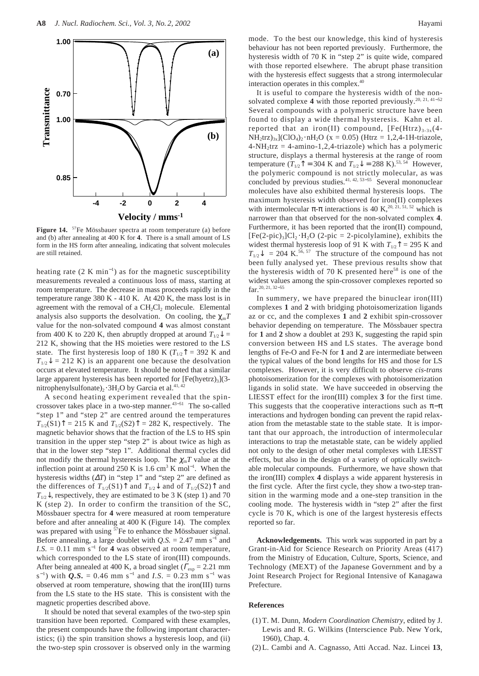

**Figure 14.** 57Fe Mössbauer spectra at room temperature (a) before and (b) after annealing at 400 K for **4**. There is a small amount of LS form in the HS form after annealing, indicating that solvent molecules are still retained.

heating rate  $(2 K min^{-1})$  as for the magnetic susceptibility measurements revealed a continuous loss of mass, starting at room temperature. The decrease in mass proceeds rapidly in the temperature range 380 K - 410 K. At 420 K, the mass lost is in agreement with the removal of a  $CH<sub>2</sub>Cl<sub>2</sub>$  molecule. Elemental analysis also supports the desolvation. On cooling, the  $\chi_{\rm m}T$ value for the non-solvated compound **4** was almost constant from 400 K to 220 K, then abruptly dropped at around  $T_{1/2}$  = 212 K, showing that the HS moieties were restored to the LS state. The first hysteresis loop of 180 K ( $T_{1/2}$ <sup> $\uparrow$ </sup> = 392 K and  $T_{1/2}$  = 212 K) is an apparent one because the desolvation occurs at elevated temperature. It should be noted that a similar large apparent hysteresis has been reported for  $[Fe(hyetrz)3](3$ nitrophenylsulfonate)<sub>2</sub> ⋅ 3H<sub>2</sub>O by Garcia et al.<sup>41, 42</sup>

A second heating experiment revealed that the spincrossover takes place in a two-step manner.<sup>43–51</sup> The so-called "step 1" and "step 2" are centred around the temperatures  $T_{1/2}(S1)$ <sup> $\uparrow$ </sup> = 215 K and  $T_{1/2}(S2)$ <sup> $\uparrow$ </sup> = 282 K, respectively. The magnetic behavior shows that the fraction of the LS to HS spin transition in the upper step "step 2" is about twice as high as that in the lower step "step 1". Additional thermal cycles did not modify the thermal hysteresis loop. The  $\chi_{m}T$  value at the inflection point at around 250 K is 1.6 cm<sup>3</sup> K mol<sup>-1</sup>. When the hysteresis widths (∆*T*) in "step 1" and "step 2" are defined as the differences of  $T_{1/2}(S_1)$ <sup> $\uparrow$ </sup> and  $T_{1/2}$ <sup> $\downarrow$ </sup> and of  $T_{1/2}(S_2)$ <sup> $\uparrow$ </sup> and  $T_{1/2}$ , respectively, they are estimated to be 3 K (step 1) and 70 K (step 2). In order to confirm the transition of the SC, Mössbauer spectra for **4** were measured at room temperature before and after annealing at 400 K (Figure 14). The complex was prepared with using <sup>57</sup>Fe to enhance the Mössbauer signal. Before annealing, a large doublet with  $Q.S. = 2.47$  mm s<sup>-1</sup> and *I.S.* = 0.11 mm s<sup> $-1$ </sup> for **4** was observed at room temperature, which corresponded to the LS state of iron(III) compounds. After being annealed at 400 K, a broad singlet ( $\Gamma_{\text{exp}} = 2.21$  mm  $(s^{-1})$  with *Q.S.* = 0.46 mm s<sup>-1</sup> and *I.S.* = 0.23 mm s<sup>-1</sup> was observed at room temperature, showing that the iron(III) turns from the LS state to the HS state. This is consistent with the magnetic properties described above.

It should be noted that several examples of the two-step spin transition have been reported. Compared with these examples, the present compounds have the following important characteristics; (i) the spin transition shows a hysteresis loop, and (ii) the two-step spin crossover is observed only in the warming mode. To the best our knowledge, this kind of hysteresis behaviour has not been reported previously. Furthermore, the hysteresis width of 70 K in "step 2" is quite wide, compared with those reported elsewhere. The abrupt phase transition with the hysteresis effect suggests that a strong intermolecular interaction operates in this complex.40

It is useful to compare the hysteresis width of the nonsolvated complexe 4 with those reported previously.<sup>20, 21, 41−52</sup> Several compounds with a polymeric structure have been found to display a wide thermal hysteresis. Kahn et al. reported that an iron(II) compound,  $[Fe(Htrz)_{3-3x}(4 NH_2$ trz)<sub>3x</sub>](ClO<sub>4</sub>)<sub>2</sub>·nH<sub>2</sub>O (x = 0.05) (Htrz = 1,2,4-1H-triazole,  $4-NH_2$ trz = 4-amino-1,2,4-triazole) which has a polymeric structure, displays a thermal hysteresis at the range of room temperature ( $T_{1/2}$ <sup> $\uparrow$ </sup> = 304 K and  $T_{1/2}$  $\downarrow$  = 288 K).<sup>53, 54</sup> However, the polymeric compound is not strictly molecular, as was concluded by previous studies.<sup>41, 42, 53–55</sup> Several mononuclear molecules have also exhibited thermal hysteresis loops. The maximum hysteresis width observed for iron(II) complexes with intermolecular  $\pi$ - $\pi$  interactions is 40 K,<sup>20, 21, 51, 52</sup> which is narrower than that observed for the non-solvated complex **4**. Furthermore, it has been reported that the iron(II) compound,  $[Fe(2-pic)<sub>3</sub>]Cl<sub>2</sub>·H<sub>2</sub>O$  (2-pic = 2-picolylamine), exhibits the widest thermal hysteresis loop of 91 K with  $T_{1/2}$ <sup> $\uparrow$ </sup> = 295 K and  $T_{1/2}$  = 204 K.<sup>56, 57</sup> The structure of the compound has not been fully analysed yet. These previous results show that the hysteresis width of 70 K presented here<sup>58</sup> is one of the widest values among the spin-crossover complexes reported so far.20, 21, 32−<sup>55</sup>

In summery, we have prepared the binuclear iron(III) complexes **1** and **2** with bridging photoisomerization ligands az or cc, and the complexes **1** and **2** exhibit spin-crossover behavior depending on temperature. The Mössbauer spectra for **1** and **2** show a doublet at 293 K, suggesting the rapid spin conversion between HS and LS states. The average bond lengths of Fe-O and Fe-N for **1** and **2** are intermediate between the typical values of the bond lengths for HS and those for LS complexes. However, it is very difficult to observe *cis*-*trans* photoisomerization for the complexes with photoisomerization ligands in solid state. We have succeeded in observing the LIESST effect for the iron(III) complex **3** for the first time. This suggests that the cooperative interactions such as  $\pi-\pi$ interactions and hydrogen bonding can prevent the rapid relaxation from the metastable state to the stable state. It is important that our approach, the introduction of intermolecular interactions to trap the metastable state, can be widely applied not only to the design of other metal complexes with LIESST effects, but also in the design of a variety of optically switchable molecular compounds. Furthermore, we have shown that the iron(III) complex **4** displays a wide apparent hysteresis in the first cycle. After the first cycle, they show a two-step transition in the warming mode and a one-step transition in the cooling mode. The hysteresis width in "step 2" after the first cycle is 70 K, which is one of the largest hysteresis effects reported so far.

**Acknowledgements.** This work was supported in part by a Grant-in-Aid for Science Research on Priority Areas (417) from the Ministry of Education, Culture, Sports, Science, and Technology (MEXT) of the Japanese Government and by a Joint Research Project for Regional Intensive of Kanagawa Prefecture.

#### **References**

- (1) T. M. Dunn, *Modern Coordination Chemistry*, edited by J. Lewis and R. G. Wilkins (Interscience Pub. New York, 1960), Chap. 4.
- (2) L. Cambi and A. Cagnasso, Atti Accad. Naz. Lincei **13**,